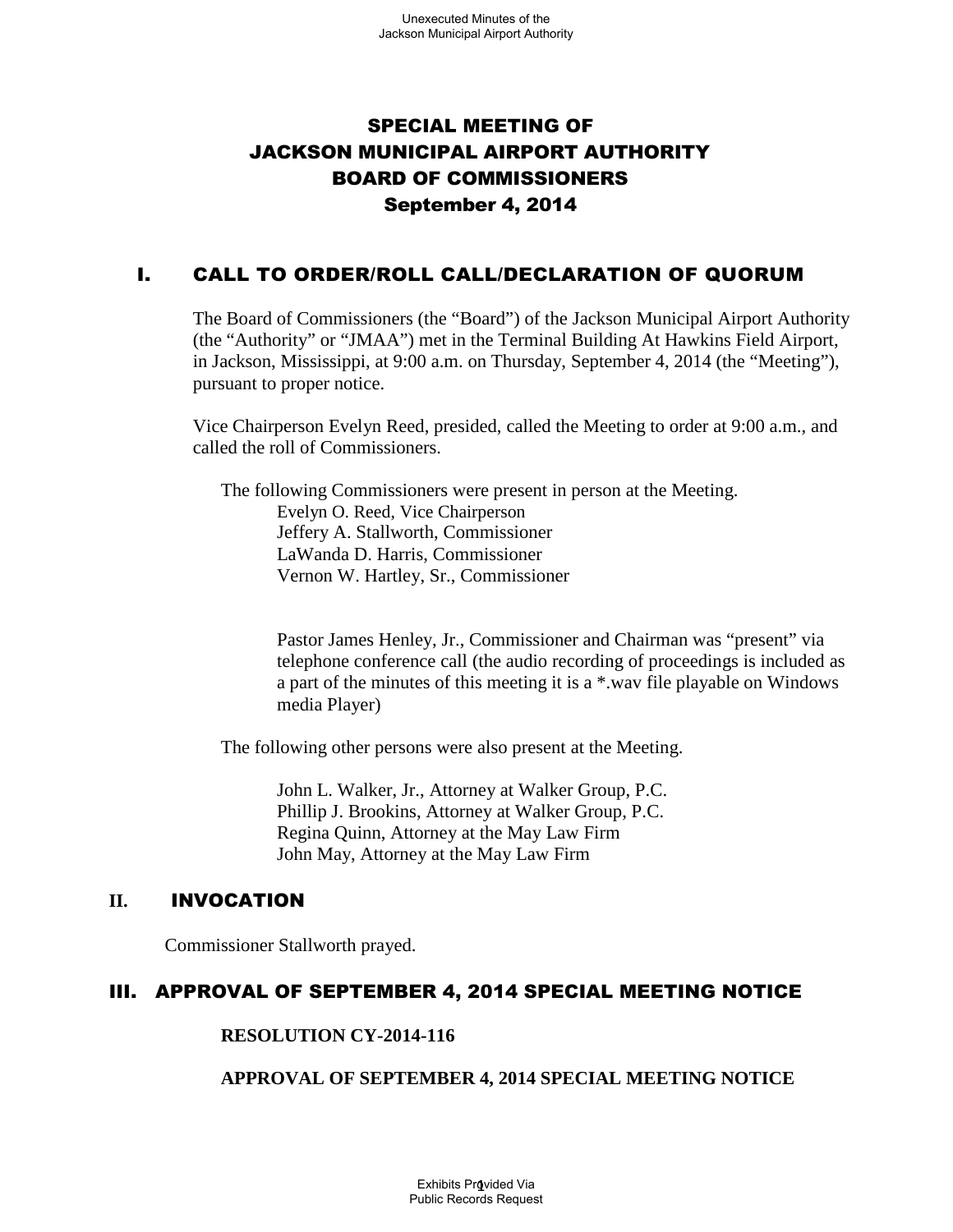# SPECIAL MEETING OF JACKSON MUNICIPAL AIRPORT AUTHORITY BOARD OF COMMISSIONERS September 4, 2014

## I. CALL TO ORDER/ROLL CALL/DECLARATION OF QUORUM

The Board of Commissioners (the "Board") of the Jackson Municipal Airport Authority (the "Authority" or "JMAA") met in the Terminal Building At Hawkins Field Airport, in Jackson, Mississippi, at 9:00 a.m. on Thursday, September 4, 2014 (the "Meeting"), pursuant to proper notice.

Vice Chairperson Evelyn Reed, presided, called the Meeting to order at 9:00 a.m., and called the roll of Commissioners.

The following Commissioners were present in person at the Meeting. Evelyn O. Reed, Vice Chairperson Jeffery A. Stallworth, Commissioner LaWanda D. Harris, Commissioner Vernon W. Hartley, Sr., Commissioner

> Pastor James Henley, Jr., Commissioner and Chairman was "present" via telephone conference call (the audio recording of proceedings is included as a part of the minutes of this meeting it is a \*.wav file playable on Windows media Player)

The following other persons were also present at the Meeting.

John L. Walker, Jr., Attorney at Walker Group, P.C. Phillip J. Brookins, Attorney at Walker Group, P.C. Regina Quinn, Attorney at the May Law Firm John May, Attorney at the May Law Firm

### **II.** INVOCATION

Commissioner Stallworth prayed.

### III. APPROVAL OF SEPTEMBER 4, 2014 SPECIAL MEETING NOTICE

#### **RESOLUTION CY-2014-116**

### **APPROVAL OF SEPTEMBER 4, 2014 SPECIAL MEETING NOTICE**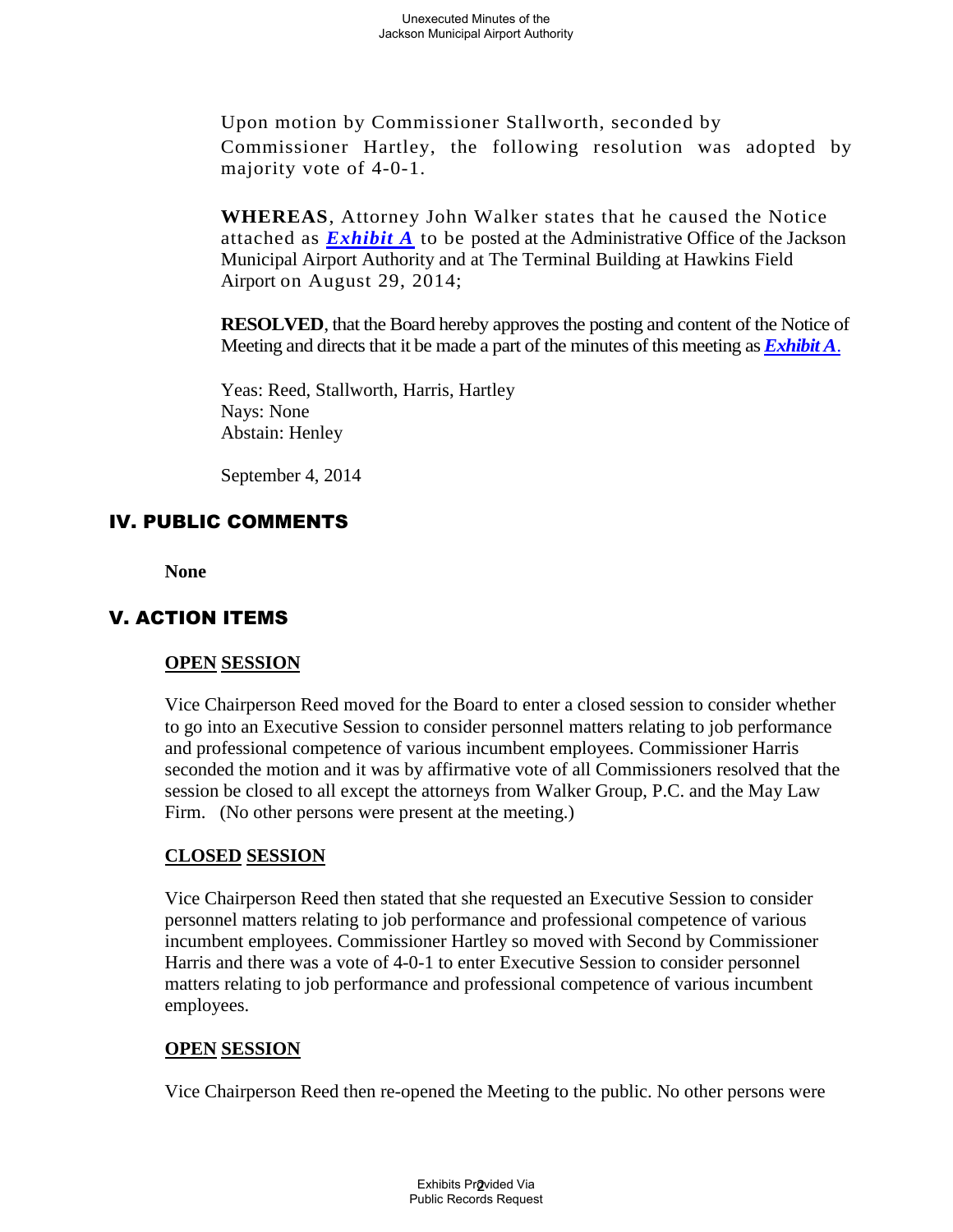Upon motion by Commissioner Stallworth, seconded by Commissioner Hartley, the following resolution was adopted by majority vote of 4-0-1.

**WHEREAS**, Attorney John Walker states that he caused the Notice attached as *Exhibit A* to be posted at the Administrative Office of the Jackson Municipal Airport Authority and at The Terminal Building at Hawkins Field Airport on August 29, 2014;

**RESOLVED**, that the Board hereby approves the posting and content of the Notice of Meeting and directs that it be made a part of the minutes of this meeting as *Exhibit A*.

Yeas: Reed, Stallworth, Harris, Hartley Nays: None Abstain: Henley

September 4, 2014

### IV. PUBLIC COMMENTS

**None**

### V. ACTION ITEMS

#### **OPEN SESSION**

Vice Chairperson Reed moved for the Board to enter a closed session to consider whether to go into an Executive Session to consider personnel matters relating to job performance and professional competence of various incumbent employees. Commissioner Harris seconded the motion and it was by affirmative vote of all Commissioners resolved that the session be closed to all except the attorneys from Walker Group, P.C. and the May Law Firm. (No other persons were present at the meeting.)

#### **CLOSED SESSION**

Vice Chairperson Reed then stated that she requested an Executive Session to consider personnel matters relating to job performance and professional competence of various incumbent employees. Commissioner Hartley so moved with Second by Commissioner Harris and there was a vote of 4-0-1 to enter Executive Session to consider personnel matters relating to job performance and professional competence of various incumbent employees.

#### **OPEN SESSION**

Vice Chairperson Reed then re-opened the Meeting to the public. No other persons were